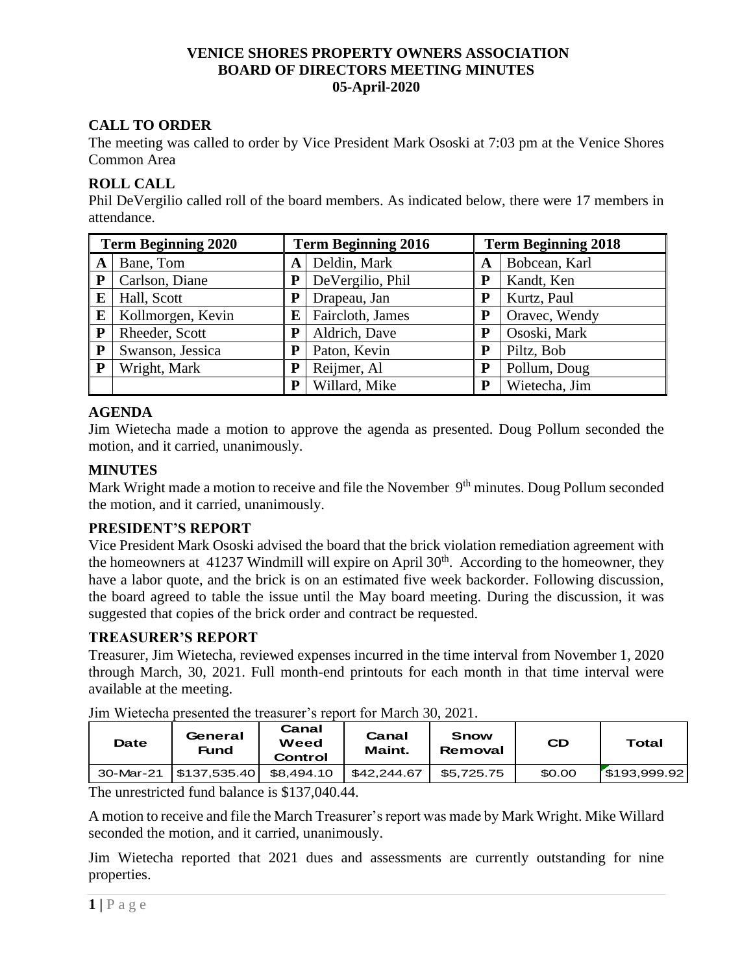## **VENICE SHORES PROPERTY OWNERS ASSOCIATION BOARD OF DIRECTORS MEETING MINUTES 05-April-2020**

# **CALL TO ORDER**

The meeting was called to order by Vice President Mark Ososki at 7:03 pm at the Venice Shores Common Area

## **ROLL CALL**

Phil DeVergilio called roll of the board members. As indicated below, there were 17 members in attendance.

| <b>Term Beginning 2020</b> |                   | <b>Term Beginning 2016</b> |                  | <b>Term Beginning 2018</b> |               |
|----------------------------|-------------------|----------------------------|------------------|----------------------------|---------------|
| A                          | Bane, Tom         | A                          | Deldin, Mark     | A                          | Bobcean, Karl |
| P                          | Carlson, Diane    |                            | DeVergilio, Phil | P                          | Kandt, Ken    |
| E                          | Hall, Scott       |                            | Drapeau, Jan     | P                          | Kurtz, Paul   |
| E                          | Kollmorgen, Kevin | E                          | Faircloth, James | P                          | Oravec, Wendy |
| P                          | Rheeder, Scott    | P                          | Aldrich, Dave    | P                          | Ososki, Mark  |
| P                          | Swanson, Jessica  | P                          | Paton, Kevin     | P                          | Piltz, Bob    |
| ${\bf P}$                  | Wright, Mark      | P                          | Reijmer, Al      | P                          | Pollum, Doug  |
|                            |                   | P                          | Willard, Mike    | P                          | Wietecha, Jim |

## **AGENDA**

Jim Wietecha made a motion to approve the agenda as presented. Doug Pollum seconded the motion, and it carried, unanimously.

## **MINUTES**

Mark Wright made a motion to receive and file the November 9<sup>th</sup> minutes. Doug Pollum seconded the motion, and it carried, unanimously.

## **PRESIDENT'S REPORT**

Vice President Mark Ososki advised the board that the brick violation remediation agreement with the homeowners at 41237 Windmill will expire on April  $30<sup>th</sup>$ . According to the homeowner, they have a labor quote, and the brick is on an estimated five week backorder. Following discussion, the board agreed to table the issue until the May board meeting. During the discussion, it was suggested that copies of the brick order and contract be requested.

### **TREASURER'S REPORT**

Treasurer, Jim Wietecha, reviewed expenses incurred in the time interval from November 1, 2020 through March, 30, 2021. Full month-end printouts for each month in that time interval were available at the meeting.

| Date      | Canal<br>General<br>Weed<br><b>Fund</b><br>Control | Canal<br>Maint. | <b>Snow</b><br>Removal | <b>CD</b> | Total        |
|-----------|----------------------------------------------------|-----------------|------------------------|-----------|--------------|
| 30-Mar-21 | \$137.535.40<br>\$8.494.10                         | \$42,244.67     | \$5.725.75             | \$0.00    | \$193,999.92 |

Jim Wietecha presented the treasurer's report for March 30, 2021.

The unrestricted fund balance is \$137,040.44.

A motion to receive and file the March Treasurer's report was made by Mark Wright. Mike Willard seconded the motion, and it carried, unanimously.

Jim Wietecha reported that 2021 dues and assessments are currently outstanding for nine properties.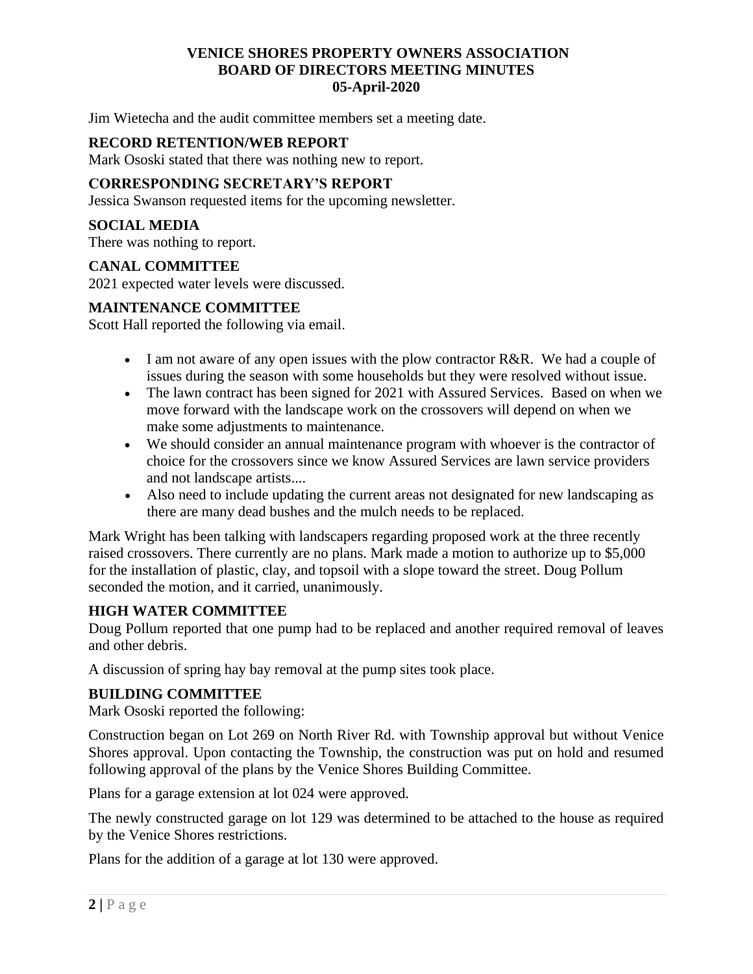## **VENICE SHORES PROPERTY OWNERS ASSOCIATION BOARD OF DIRECTORS MEETING MINUTES 05-April-2020**

Jim Wietecha and the audit committee members set a meeting date.

## **RECORD RETENTION/WEB REPORT**

Mark Ososki stated that there was nothing new to report.

### **CORRESPONDING SECRETARY'S REPORT**

Jessica Swanson requested items for the upcoming newsletter.

### **SOCIAL MEDIA**

There was nothing to report.

#### **CANAL COMMITTEE**

2021 expected water levels were discussed.

#### **MAINTENANCE COMMITTEE**

Scott Hall reported the following via email.

- I am not aware of any open issues with the plow contractor R&R. We had a couple of issues during the season with some households but they were resolved without issue.
- The lawn contract has been signed for 2021 with Assured Services. Based on when we move forward with the landscape work on the crossovers will depend on when we make some adjustments to maintenance.
- We should consider an annual maintenance program with whoever is the contractor of choice for the crossovers since we know Assured Services are lawn service providers and not landscape artists....
- Also need to include updating the current areas not designated for new landscaping as there are many dead bushes and the mulch needs to be replaced.

Mark Wright has been talking with landscapers regarding proposed work at the three recently raised crossovers. There currently are no plans. Mark made a motion to authorize up to \$5,000 for the installation of plastic, clay, and topsoil with a slope toward the street. Doug Pollum seconded the motion, and it carried, unanimously.

#### **HIGH WATER COMMITTEE**

Doug Pollum reported that one pump had to be replaced and another required removal of leaves and other debris.

A discussion of spring hay bay removal at the pump sites took place.

#### **BUILDING COMMITTEE**

Mark Ososki reported the following:

Construction began on Lot 269 on North River Rd. with Township approval but without Venice Shores approval. Upon contacting the Township, the construction was put on hold and resumed following approval of the plans by the Venice Shores Building Committee.

Plans for a garage extension at lot 024 were approved.

The newly constructed garage on lot 129 was determined to be attached to the house as required by the Venice Shores restrictions.

Plans for the addition of a garage at lot 130 were approved.